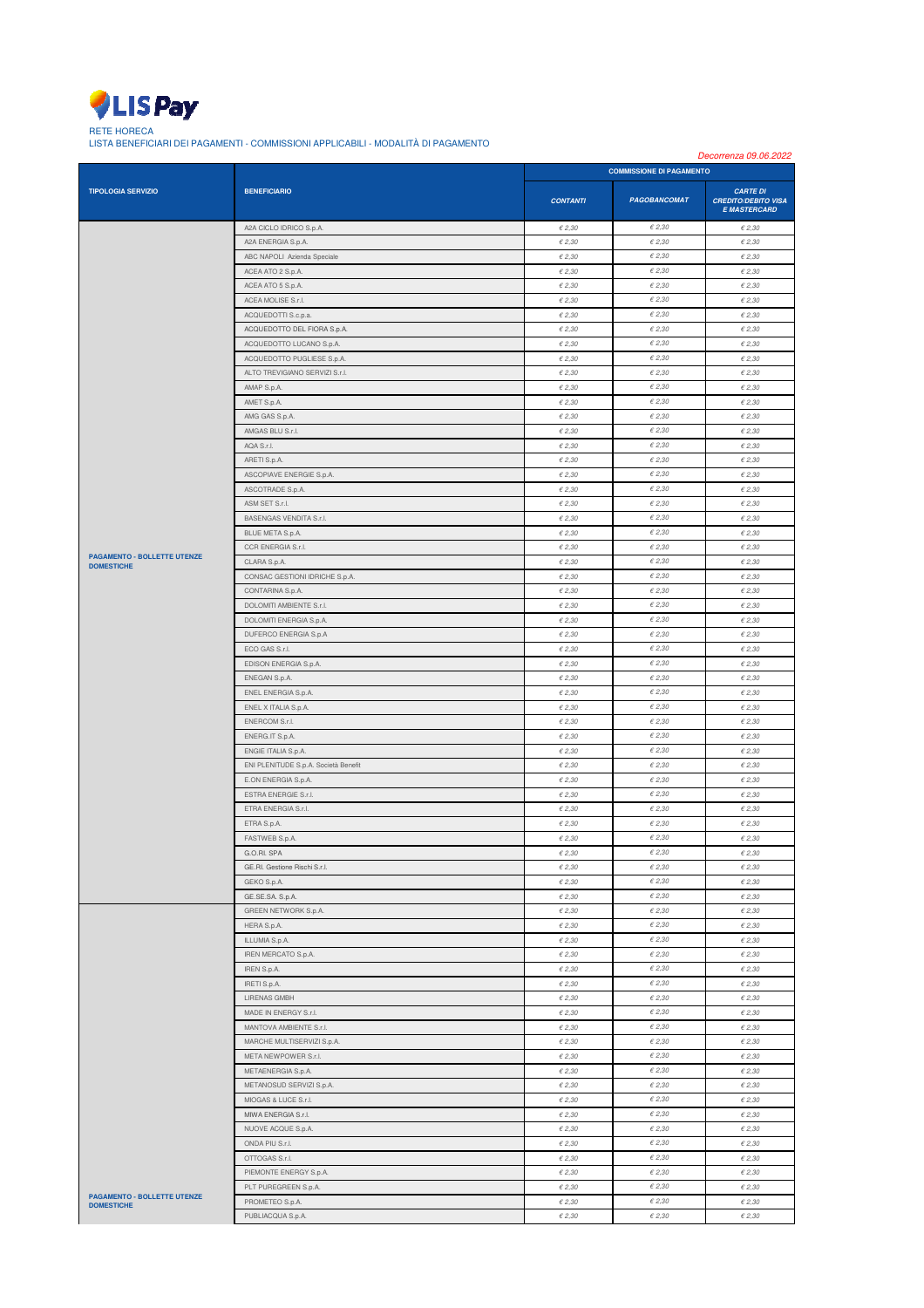

RETE HORECA LISTA BENEFICIARI DEI PAGAMENTI - COMMISSIONI APPLICABILI - MODALITÀ DI PAGAMENTO

|                                    |                                                              | Decorrenza 09.06.2022              |                                    |                                                                      |
|------------------------------------|--------------------------------------------------------------|------------------------------------|------------------------------------|----------------------------------------------------------------------|
|                                    | <b>BENEFICIARIO</b>                                          | <b>COMMISSIONE DI PAGAMENTO</b>    |                                    |                                                                      |
| <b>TIPOLOGIA SERVIZIO</b>          |                                                              | <b>CONTANTI</b>                    | <b>PAGOBANCOMAT</b>                | <b>CARTE DI</b><br><b>CREDITO/DEBITO VISA</b><br><b>E MASTERCARD</b> |
|                                    | A2A CICLO IDRICO S.p.A.                                      | $\epsilon$ 2,30                    | $\in$ 2,30                         | $\epsilon$ 2,30                                                      |
|                                    | A2A ENERGIA S.p.A.                                           | $\epsilon$ 2,30                    | €2,30                              | $\epsilon$ 2,30                                                      |
|                                    | ABC NAPOLI Azienda Speciale                                  | $\epsilon$ 2.30                    | $\epsilon$ 2,30                    | $\epsilon$ 2.30                                                      |
|                                    | ACEA ATO 2 S.p.A.                                            | $\epsilon$ 2,30                    | €2,30                              | $\epsilon$ 2,30                                                      |
|                                    | ACEA ATO 5 S.p.A.                                            | $\epsilon$ 2,30                    | $\epsilon$ 2,30                    | $\epsilon$ 2,30                                                      |
|                                    | ACEA MOLISE S.r.l.                                           | $\epsilon$ 2,30                    | €2,30                              | $\epsilon$ 2,30                                                      |
|                                    | ACQUEDOTTI S.c.p.a.                                          | $\epsilon$ 2.30                    | E2,30                              | $\epsilon$ 2.30                                                      |
|                                    | ACQUEDOTTO DEL FIORA S.p.A.                                  | $\epsilon$ 2,30                    | €2,30                              | $\epsilon$ 2.30                                                      |
|                                    | ACQUEDOTTO LUCANO S.p.A.                                     | $\epsilon$ 2,30                    | $\epsilon$ 2,30                    | $\epsilon$ 2,30                                                      |
|                                    | ACQUEDOTTO PUGLIESE S.p.A.<br>ALTO TREVIGIANO SERVIZI S.r.l. | $\epsilon$ 2,30                    | €2,30                              | $\epsilon$ 2,30                                                      |
|                                    | AMAP S.p.A.                                                  | $\epsilon$ 2.30<br>$\epsilon$ 2,30 | $\epsilon$ 2,30<br>$\epsilon$ 2,30 | $\epsilon$ 2.30<br>$\epsilon$ 2,30                                   |
|                                    | AMET S.p.A.                                                  | $\epsilon$ 2,30                    | $\epsilon$ 2,30                    | $\epsilon$ 2,30                                                      |
|                                    | AMG GAS S.p.A.                                               | $\epsilon$ 2,30                    | E2,30                              | $\epsilon$ 2,30                                                      |
|                                    | AMGAS BLU S.r.l.                                             | $\epsilon$ 2.30                    | E2,30                              | $\epsilon$ 2.30                                                      |
|                                    | AQA S.r.l.                                                   | $\epsilon$ 2,30                    | €2,30                              | $\epsilon$ 2,30                                                      |
|                                    | ARETI S.p.A.                                                 | $\epsilon$ 2,30                    | €2,30                              | $\epsilon$ 2,30                                                      |
|                                    | ASCOPIAVE ENERGIE S.p.A.                                     | $\epsilon$ 2,30                    | €2,30                              | $\epsilon$ 2,30                                                      |
|                                    | ASCOTRADE S.p.A.                                             | $\epsilon$ 2.30                    | $\epsilon$ 2,30                    | $\epsilon$ 2.30                                                      |
|                                    | ASM SET S.r.l.                                               | $\epsilon$ 2,30                    | €2,30                              | $\epsilon$ 2,30                                                      |
|                                    | BASENGAS VENDITA S.r.l.                                      | $\epsilon$ 2,30                    | $\epsilon$ 2,30                    | $\epsilon$ 2,30                                                      |
|                                    | BLUE META S.p.A.                                             | $\epsilon$ 2,30                    | €2,30                              | $\epsilon$ 2,30                                                      |
| <b>PAGAMENTO - BOLLETTE UTENZE</b> | CCR ENERGIA S.r.l.                                           | $\epsilon$ 2.30                    | $\epsilon$ 2,30                    | $\epsilon$ 2.30                                                      |
| <b>DOMESTICHE</b>                  | CLARA S.p.A.                                                 | $\epsilon$ 2,30                    | €2,30                              | $\epsilon$ 2,30                                                      |
|                                    | CONSAC GESTIONI IDRICHE S.p.A.                               | $\epsilon$ 2,30                    | $\epsilon$ 2,30                    | $\epsilon$ 2,30                                                      |
|                                    | CONTARINA S.p.A.                                             | $\epsilon$ 2,30                    | E2,30                              | $\epsilon$ 2,30                                                      |
|                                    | DOLOMITI AMBIENTE S.r.I.                                     | $\epsilon$ 2,30                    | $\epsilon$ 2,30                    | $\epsilon$ 2,30                                                      |
|                                    | DOLOMITI ENERGIA S.p.A.                                      | $\epsilon$ 2.30                    | $\epsilon$ 2,30                    | $\epsilon$ 2.30                                                      |
|                                    | DUFERCO ENERGIA S.p.A                                        | $\epsilon$ 2,30                    | €2,30<br>$\epsilon$ 2,30           | $\epsilon$ 2,30                                                      |
|                                    | ECO GAS S.r.l.<br>EDISON ENERGIA S.p.A.                      | $\epsilon$ 2,30<br>$\epsilon$ 2,30 | €2,30                              | $\epsilon$ 2,30<br>$\epsilon$ 2,30                                   |
|                                    | ENEGAN S.p.A.                                                | $\epsilon$ 2.30                    | $\epsilon$ 2,30                    | $\epsilon$ 2.30                                                      |
|                                    | ENEL ENERGIA S.p.A.                                          | $\epsilon$ 2,30                    | E2.30                              | $\epsilon$ 2,30                                                      |
|                                    | ENEL X ITALIA S.p.A.                                         | $\epsilon$ 2,30                    | $\epsilon$ 2,30                    | $\epsilon$ 2,30                                                      |
|                                    | ENERCOM S.r.l.                                               | $\epsilon$ 2,30                    | €2,30                              | $\epsilon$ 2,30                                                      |
|                                    | ENERG.IT S.p.A.                                              | $\epsilon$ 2.30                    | E2,30                              | $\epsilon$ 2.30                                                      |
|                                    | ENGIE ITALIA S.p.A.                                          | $\epsilon$ 2,30                    | €2,30                              | $\epsilon$ 2,30                                                      |
|                                    | ENI PLENITUDE S.p.A. Società Benefit                         | $\epsilon$ 2,30                    | €2,30                              | $\epsilon$ 2,30                                                      |
|                                    | E.ON ENERGIA S.p.A.                                          | $\epsilon$ 2,30                    | E2,30                              | $\epsilon$ 2,30                                                      |
|                                    | ESTRA ENERGIE S.r.l.                                         | $\epsilon$ 2.30                    | E2,30                              | $\epsilon$ 2.30                                                      |
|                                    | ETRA ENERGIA S.r.l.                                          | $\epsilon$ 2,30                    | €2,30                              | $\epsilon$ 2,30                                                      |
|                                    | ETRA S.p.A.                                                  | $\epsilon$ 2,30                    | E2.30                              | $\epsilon$ 2,30                                                      |
|                                    | FASTWEB S.p.A.                                               | $\epsilon$ 2,30                    | $\epsilon$ 2,30                    | $\epsilon$ 2,30                                                      |
|                                    | G.O.RI. SPA                                                  | $\epsilon$ 2.30                    | €2,30                              | $\epsilon$ 2.30                                                      |
|                                    | GE.RI. Gestione Rischi S.r.l.                                | $\epsilon$ 2,30                    | $\epsilon$ 2,30                    | $\epsilon$ 2,30                                                      |
|                                    | GEKO S.p.A.                                                  | $\epsilon$ 2,30                    | $\epsilon$ 2,30                    | $\epsilon$ 2,30                                                      |
|                                    | GE.SE.SA. S.p.A.<br>GREEN NETWORK S.p.A.                     | $\epsilon$ 2,30<br>$\epsilon$ 2.30 | $\epsilon$ 2,30<br>$\epsilon$ 2,30 | $\epsilon$ 2,30<br>$\epsilon$ 2.30                                   |
|                                    | HERA S.p.A.                                                  | $\epsilon$ 2,30                    | E2.30                              | $\epsilon$ 2,30                                                      |
|                                    | ILLUMIA S.p.A.                                               | $\epsilon$ 2,30                    | $\epsilon$ 2,30                    | $\epsilon$ 2,30                                                      |
|                                    | IREN MERCATO S.p.A.                                          | $\epsilon$ 2,30                    | $\epsilon$ 2,30                    | $\epsilon$ 2,30                                                      |
|                                    | IREN S.p.A.                                                  | $\epsilon$ 2,30                    | $\epsilon$ 2,30                    | $\epsilon$ 2.30                                                      |
|                                    | IRETI S.p.A.                                                 | $\in$ 2,30                         | $\epsilon$ 2,30                    | $\epsilon$ 2,30                                                      |
|                                    | <b>LIRENAS GMBH</b>                                          | $\epsilon$ 2,30                    | €2,30                              | $\epsilon$ 2,30                                                      |
|                                    | MADE IN ENERGY S.r.l.                                        | $\epsilon$ 2,30                    | E2,30                              | $\epsilon$ 2,30                                                      |
|                                    | MANTOVA AMBIENTE S.r.l.                                      | $\epsilon$ 2.30                    | $\epsilon$ 2,30                    | $\epsilon$ 2.30                                                      |
|                                    | MARCHE MULTISERVIZI S.p.A.                                   | $\epsilon$ 2.30                    | €2,30                              | $\epsilon$ 2.30                                                      |
|                                    | META NEWPOWER S.r.l.                                         | $\epsilon$ 2,30                    | $\epsilon$ 2,30                    | $\epsilon$ 2,30                                                      |
|                                    | METAENERGIA S.p.A.                                           | $\epsilon$ 2,30                    | $\epsilon$ 2,30                    | $\epsilon$ 2,30                                                      |
|                                    | METANOSUD SERVIZI S.p.A.                                     | $\epsilon$ 2,30                    | €2,30                              | $\epsilon$ 2,30                                                      |
|                                    | MIOGAS & LUCE S.r.l.                                         | $\epsilon$ 2,30                    | $\epsilon$ 2,30                    | $\epsilon$ 2,30                                                      |
|                                    | MIWA ENERGIA S.r.l.                                          | $\epsilon$ 2,30                    | E2,30                              | $\epsilon$ 2,30                                                      |
|                                    | NUOVE ACQUE S.p.A.                                           | $\epsilon$ 2,30                    | $\in$ 2,30                         | $\epsilon$ 2,30                                                      |
|                                    | ONDA PIU S.r.l.<br>OTTOGAS S.r.l.                            | $\epsilon$ 2,30                    | E2,30<br>$\epsilon$ 2,30           | $\epsilon$ 2,30                                                      |
|                                    |                                                              | $\epsilon$ 2,30<br>$\epsilon$ 2,30 | E2.30                              | $\epsilon$ 2.30<br>$\epsilon$ 2,30                                   |
|                                    | PIEMONTE ENERGY S.p.A.<br>PLT PUREGREEN S.p.A.               | $\epsilon$ 2,30                    | $\epsilon$ 2,30                    | $\epsilon$ 2,30                                                      |
| <b>PAGAMENTO - BOLLETTE UTENZE</b> | PROMETEO S.p.A.                                              | $\epsilon$ 2,30                    | $\epsilon$ 2,30                    | $\epsilon$ 2,30                                                      |
| <b>DOMESTICHE</b>                  | PUBLIACQUA S.p.A.                                            | $\epsilon$ 2.30                    | $\epsilon$ 2,30                    | $\epsilon$ 2.30                                                      |